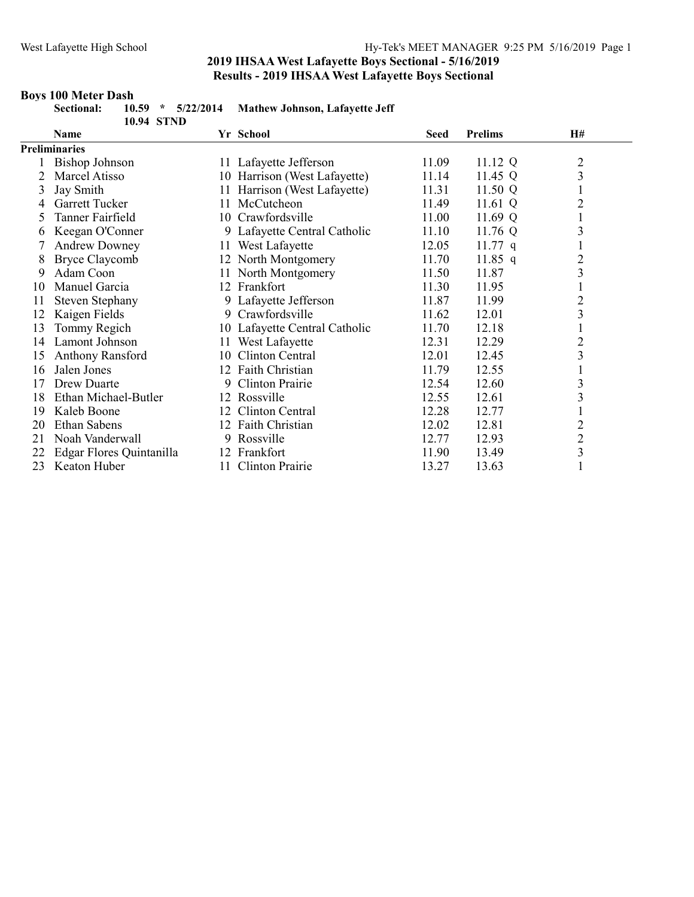#### Boys 100 Meter Dash

|    | Sectional:<br>10.59<br>$\star$<br>10.94 STND | 5/22/2014 | <b>Mathew Johnson, Lafayette Jeff</b> |       |                |                         |
|----|----------------------------------------------|-----------|---------------------------------------|-------|----------------|-------------------------|
|    | <b>Name</b>                                  |           | Yr School                             | Seed  | <b>Prelims</b> | <b>H#</b>               |
|    | <b>Preliminaries</b>                         |           |                                       |       |                |                         |
|    | <b>Bishop Johnson</b>                        |           | 11 Lafayette Jefferson                | 11.09 | 11.12 Q        | $\overline{c}$          |
| 2  | Marcel Atisso                                |           | 10 Harrison (West Lafayette)          | 11.14 | 11.45 Q        | 3                       |
| 3  | Jay Smith                                    |           | 11 Harrison (West Lafayette)          | 11.31 | 11.50 Q        | $\mathbf{1}$            |
| 4  | Garrett Tucker                               | 11        | McCutcheon                            | 11.49 | 11.61 Q        | $\overline{c}$          |
| 5  | Tanner Fairfield                             |           | 10 Crawfordsville                     | 11.00 | 11.69 Q        | $\mathbf{1}$            |
| 6  | Keegan O'Conner                              |           | 9 Lafayette Central Catholic          | 11.10 | 11.76 Q        | 3                       |
|    | <b>Andrew Downey</b>                         |           | 11 West Lafayette                     | 12.05 | 11.77 $q$      | $\mathbf{1}$            |
| 8  | <b>Bryce Claycomb</b>                        |           | 12 North Montgomery                   | 11.70 | 11.85 q        | $\frac{2}{3}$           |
| 9  | Adam Coon                                    |           | 11 North Montgomery                   | 11.50 | 11.87          |                         |
| 10 | Manuel Garcia                                |           | 12 Frankfort                          | 11.30 | 11.95          | $\mathbf{1}$            |
| 11 | Steven Stephany                              |           | 9 Lafayette Jefferson                 | 11.87 | 11.99          | $\overline{c}$          |
| 12 | Kaigen Fields                                |           | 9 Crawfordsville                      | 11.62 | 12.01          | 3                       |
| 13 | Tommy Regich                                 |           | 10 Lafayette Central Catholic         | 11.70 | 12.18          | $\mathbf{1}$            |
| 14 | Lamont Johnson                               |           | 11 West Lafayette                     | 12.31 | 12.29          | $\overline{c}$          |
| 15 | Anthony Ransford                             |           | 10 Clinton Central                    | 12.01 | 12.45          | $\overline{\mathbf{3}}$ |
| 16 | Jalen Jones                                  | 12        | Faith Christian                       | 11.79 | 12.55          | $\mathbf{1}$            |
| 17 | Drew Duarte                                  | 9         | <b>Clinton Prairie</b>                | 12.54 | 12.60          | 3                       |
| 18 | Ethan Michael-Butler                         |           | 12 Rossville                          | 12.55 | 12.61          | $\overline{\mathbf{3}}$ |
| 19 | Kaleb Boone                                  | 12        | Clinton Central                       | 12.28 | 12.77          | $\mathbf{1}$            |
| 20 | <b>Ethan Sabens</b>                          |           | 12 Faith Christian                    | 12.02 | 12.81          | $\overline{c}$          |
| 21 | Noah Vanderwall                              | 9         | Rossville                             | 12.77 | 12.93          |                         |
| 22 | Edgar Flores Quintanilla                     |           | 12 Frankfort                          | 11.90 | 13.49          | $\frac{2}{3}$           |
| 23 | Keaton Huber                                 |           | 11 Clinton Prairie                    | 13.27 | 13.63          | 1                       |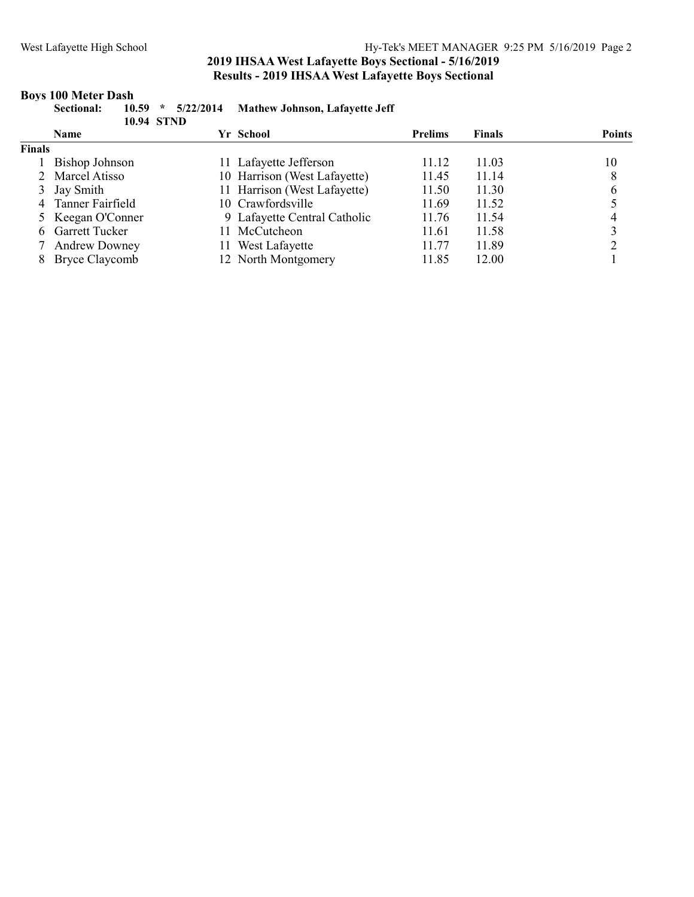### Boys 100 Meter Dash

|               | 5/22/2014<br>10.59<br>$\star$<br><b>Sectional:</b><br>10.94 STND |  | <b>Mathew Johnson, Lafayette Jeff</b> |                |        |               |
|---------------|------------------------------------------------------------------|--|---------------------------------------|----------------|--------|---------------|
|               | <b>Name</b>                                                      |  | Yr School                             | <b>Prelims</b> | Finals | <b>Points</b> |
| <b>Finals</b> |                                                                  |  |                                       |                |        |               |
|               | Bishop Johnson                                                   |  | 11 Lafayette Jefferson                | 11.12          | 11.03  | 10            |
|               | 2 Marcel Atisso                                                  |  | 10 Harrison (West Lafayette)          | 11.45          | 11.14  |               |
|               | 3 Jay Smith                                                      |  | 11 Harrison (West Lafayette)          | 11.50          | 11.30  |               |

| л лау эшши         | 11 THAILISUITY WUST LATAYUW) | 11.50 | 11.JV | - 12           |
|--------------------|------------------------------|-------|-------|----------------|
| 4 Tanner Fairfield | 10 Crawfordsville            | 11.69 | 11.52 |                |
| 5 Keegan O'Conner  | 9 Lafayette Central Catholic | 11.76 | 11.54 | $\overline{4}$ |
| 6 Garrett Tucker   | 11 McCutcheon                | 11.61 | 11.58 | 3              |
| 7 Andrew Downey    | 11 West Lafayette            | 11.77 | 11.89 |                |
| 8 Bryce Claycomb   | 12 North Montgomery          | 11.85 | 12.00 |                |
|                    |                              |       |       |                |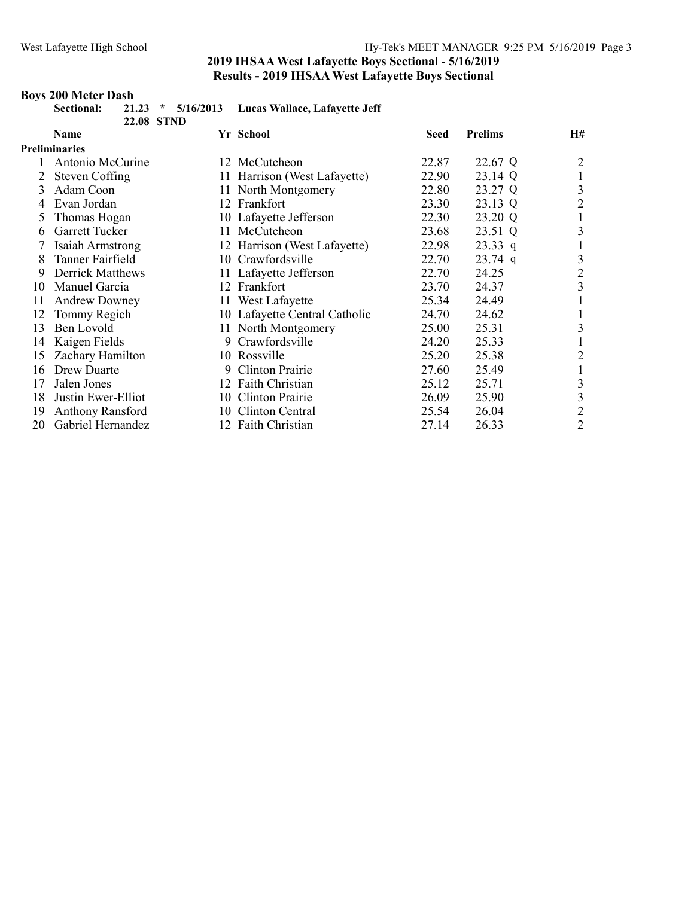### Boys 200 Meter Dash

| Sectional:           | <b>22.08 STND</b> | 21.23 * 5/16/2013 Lucas Wallace, Lafayette Jeff |       |                |    |
|----------------------|-------------------|-------------------------------------------------|-------|----------------|----|
| <b>Name</b>          |                   | Yr School                                       | Seed  | <b>Prelims</b> | H# |
| <b>Preliminaries</b> |                   |                                                 |       |                |    |
| Antonio McCurine     |                   | 12 McCutcheon                                   | 22.87 | 22.67 Q        |    |
| 2 Steven Coffing     |                   | 11 Harrison (West Lafayette)                    | 22.90 | 23.14 Q        |    |

| і спішпаі ісэ           |    |                |                                                                                                                                                                                                                                                                                                                                                                                                                                      |           |                |
|-------------------------|----|----------------|--------------------------------------------------------------------------------------------------------------------------------------------------------------------------------------------------------------------------------------------------------------------------------------------------------------------------------------------------------------------------------------------------------------------------------------|-----------|----------------|
| Antonio McCurine        |    |                | 22.87                                                                                                                                                                                                                                                                                                                                                                                                                                | 22.67 Q   |                |
| <b>Steven Coffing</b>   |    |                | 22.90                                                                                                                                                                                                                                                                                                                                                                                                                                | 23.14 Q   |                |
| Adam Coon               |    |                | 22.80                                                                                                                                                                                                                                                                                                                                                                                                                                | 23.27 Q   | 3              |
| Evan Jordan             |    |                | 23.30                                                                                                                                                                                                                                                                                                                                                                                                                                | 23.13 Q   | 2              |
| Thomas Hogan            |    |                | 22.30                                                                                                                                                                                                                                                                                                                                                                                                                                | 23.20 Q   |                |
| Garrett Tucker          |    |                | 23.68                                                                                                                                                                                                                                                                                                                                                                                                                                | 23.51 Q   | 3              |
| Isaiah Armstrong        |    |                | 22.98                                                                                                                                                                                                                                                                                                                                                                                                                                | $23.33$ q |                |
| Tanner Fairfield        |    |                | 22.70                                                                                                                                                                                                                                                                                                                                                                                                                                | $23.74$ q | 3              |
| <b>Derrick Matthews</b> |    |                | 22.70                                                                                                                                                                                                                                                                                                                                                                                                                                | 24.25     | $\overline{2}$ |
| Manuel Garcia           |    |                | 23.70                                                                                                                                                                                                                                                                                                                                                                                                                                | 24.37     | 3              |
| <b>Andrew Downey</b>    | 11 | West Lafayette | 25.34                                                                                                                                                                                                                                                                                                                                                                                                                                | 24.49     |                |
| Tommy Regich            | 10 |                | 24.70                                                                                                                                                                                                                                                                                                                                                                                                                                | 24.62     |                |
| Ben Lovold              |    |                | 25.00                                                                                                                                                                                                                                                                                                                                                                                                                                | 25.31     |                |
| Kaigen Fields           |    |                | 24.20                                                                                                                                                                                                                                                                                                                                                                                                                                | 25.33     |                |
| Zachary Hamilton        |    |                | 25.20                                                                                                                                                                                                                                                                                                                                                                                                                                | 25.38     |                |
| Drew Duarte             |    |                | 27.60                                                                                                                                                                                                                                                                                                                                                                                                                                | 25.49     |                |
| Jalen Jones             |    |                | 25.12                                                                                                                                                                                                                                                                                                                                                                                                                                | 25.71     | 3              |
| Justin Ewer-Elliot      |    |                | 26.09                                                                                                                                                                                                                                                                                                                                                                                                                                | 25.90     | 3              |
| Anthony Ransford        |    |                | 25.54                                                                                                                                                                                                                                                                                                                                                                                                                                | 26.04     | 2              |
| Gabriel Hernandez       |    |                | 27.14                                                                                                                                                                                                                                                                                                                                                                                                                                | 26.33     | $\overline{2}$ |
|                         |    |                | 12 McCutcheon<br>11 Harrison (West Lafayette)<br>11 North Montgomery<br>12 Frankfort<br>10 Lafayette Jefferson<br>11 McCutcheon<br>12 Harrison (West Lafayette)<br>10 Crawfordsville<br>11 Lafayette Jefferson<br>12 Frankfort<br>Lafayette Central Catholic<br>11 North Montgomery<br>9 Crawfordsville<br>10 Rossville<br>9 Clinton Prairie<br>12 Faith Christian<br>10 Clinton Prairie<br>10 Clinton Central<br>12 Faith Christian |           |                |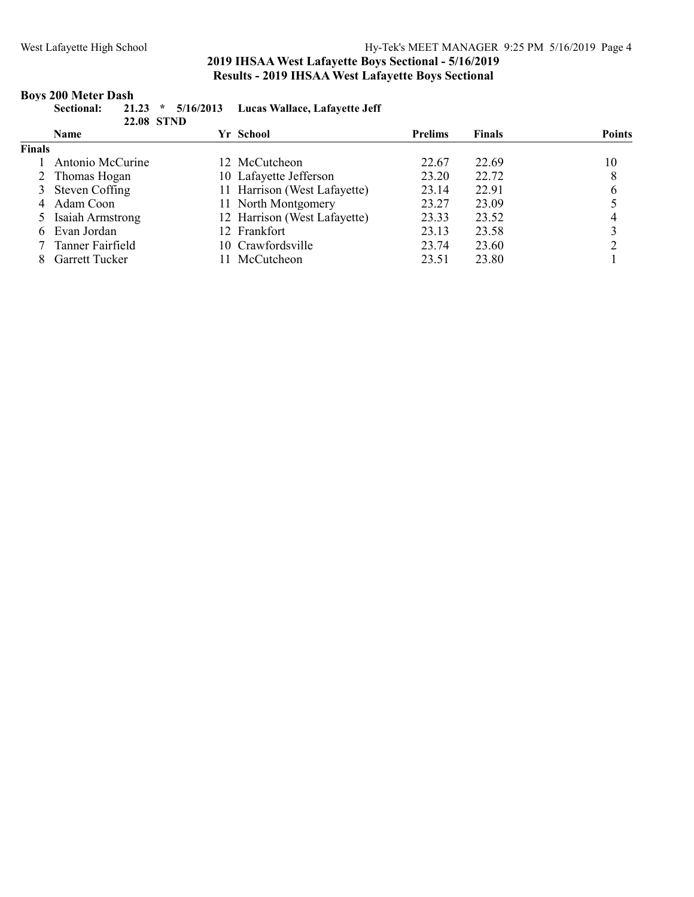### Boys 200 Meter Dash

|      | Sectional: |                   | 21.23 * 5/16/2013 Lucas Wallace, Lafayette Jeff |
|------|------------|-------------------|-------------------------------------------------|
|      |            | <b>22.08 STND</b> |                                                 |
| Name |            |                   | Vr. School                                      |

|               | <b>Name</b>           | Yr School |                              | <b>Prelims</b> | <b>Finals</b> | <b>Points</b> |
|---------------|-----------------------|-----------|------------------------------|----------------|---------------|---------------|
| <b>Finals</b> |                       |           |                              |                |               |               |
|               | Antonio McCurine      |           | 12 McCutcheon                | 22.67          | 22.69         | 10            |
|               | 2 Thomas Hogan        |           | 10 Lafayette Jefferson       | 23.20          | 22.72         |               |
|               | 3 Steven Coffing      |           | 11 Harrison (West Lafayette) | 23.14          | 22.91         | 6             |
|               | 4 Adam Coon           |           | 11 North Montgomery          | 23.27          | 23.09         |               |
|               | 5 Isaiah Armstrong    |           | 12 Harrison (West Lafayette) | 23.33          | 23.52         |               |
|               | 6 Evan Jordan         |           | 12 Frankfort                 | 23.13          | 23.58         |               |
|               | Tanner Fairfield      |           | 10 Crawfordsville            | 23.74          | 23.60         |               |
|               | <b>Garrett Tucker</b> |           | McCutcheon                   | 23.51          | 23.80         |               |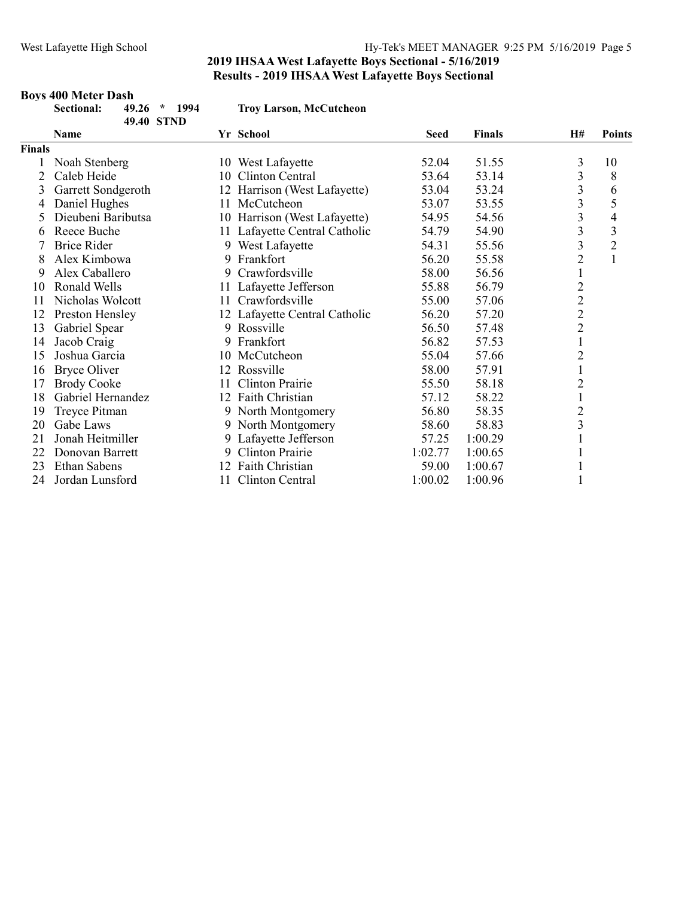# Boys 400 Meter Dash<br>Sectional: 49.

|               | Sectional:<br>$*$ 1994<br>49.26<br>49.40 STND |    | <b>Troy Larson, McCutcheon</b> |             |               |                         |                |
|---------------|-----------------------------------------------|----|--------------------------------|-------------|---------------|-------------------------|----------------|
|               | <b>Name</b>                                   |    | Yr School                      | <b>Seed</b> | <b>Finals</b> | H#                      | <b>Points</b>  |
| <b>Finals</b> |                                               |    |                                |             |               |                         |                |
|               | Noah Stenberg                                 |    | 10 West Lafayette              | 52.04       | 51.55         | 3                       | 10             |
|               | Caleb Heide                                   | 10 | Clinton Central                | 53.64       | 53.14         | 3                       | 8              |
| 3             | Garrett Sondgeroth                            |    | 12 Harrison (West Lafayette)   | 53.04       | 53.24         | 3                       | 6              |
| 4             | Daniel Hughes                                 | 11 | McCutcheon                     | 53.07       | 53.55         | 3                       | 5              |
|               | Dieubeni Baributsa                            |    | 10 Harrison (West Lafayette)   | 54.95       | 54.56         | 3                       | 4              |
| 6             | Reece Buche                                   |    | 11 Lafayette Central Catholic  | 54.79       | 54.90         | 3                       | 3              |
|               | <b>Brice Rider</b>                            |    | 9 West Lafayette               | 54.31       | 55.56         | 3                       | $\overline{2}$ |
| 8             | Alex Kimbowa                                  |    | 9 Frankfort                    | 56.20       | 55.58         | $\overline{c}$          | $\mathbf{1}$   |
| 9             | Alex Caballero                                |    | 9 Crawfordsville               | 58.00       | 56.56         | $\mathbf{1}$            |                |
| 10            | Ronald Wells                                  | 11 | Lafayette Jefferson            | 55.88       | 56.79         | $\overline{\mathbf{c}}$ |                |
| 11            | Nicholas Wolcott                              | 11 | Crawfordsville                 | 55.00       | 57.06         | $\overline{c}$          |                |
| 12            | Preston Hensley                               |    | 12 Lafayette Central Catholic  | 56.20       | 57.20         | $\overline{c}$          |                |
| 13            | Gabriel Spear                                 |    | 9 Rossville                    | 56.50       | 57.48         | $\overline{c}$          |                |
| 14            | Jacob Craig                                   |    | 9 Frankfort                    | 56.82       | 57.53         | $\mathbf{1}$            |                |
| 15            | Joshua Garcia                                 |    | 10 McCutcheon                  | 55.04       | 57.66         | $\overline{c}$          |                |
| 16            | <b>Bryce Oliver</b>                           |    | 12 Rossville                   | 58.00       | 57.91         | $\mathbf{1}$            |                |
| 17            | <b>Brody Cooke</b>                            |    | Clinton Prairie                | 55.50       | 58.18         | $\overline{c}$          |                |
| 18            | Gabriel Hernandez                             |    | 12 Faith Christian             | 57.12       | 58.22         | $\mathbf{1}$            |                |
| 19            | Treyce Pitman                                 |    | 9 North Montgomery             | 56.80       | 58.35         | $\overline{c}$          |                |
| 20            | Gabe Laws                                     |    | 9 North Montgomery             | 58.60       | 58.83         | 3                       |                |
| 21            | Jonah Heitmiller                              |    | 9 Lafayette Jefferson          | 57.25       | 1:00.29       |                         |                |
| 22            | Donovan Barrett                               | 9  | Clinton Prairie                | 1:02.77     | 1:00.65       |                         |                |
| 23            | <b>Ethan Sabens</b>                           |    | Faith Christian                | 59.00       | 1:00.67       |                         |                |
| 24            | Jordan Lunsford                               | 11 | Clinton Central                | 1:00.02     | 1:00.96       |                         |                |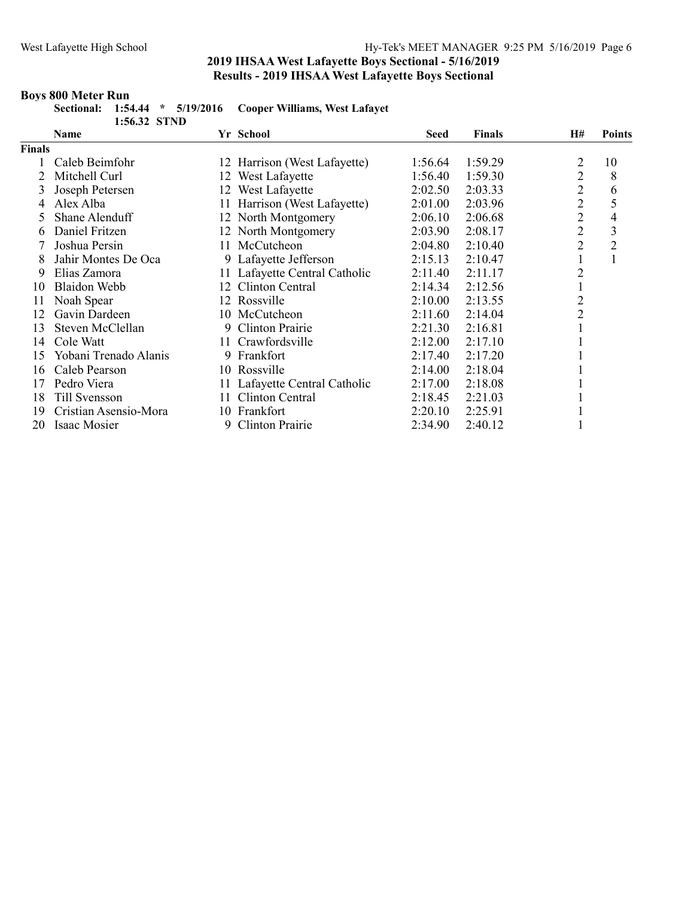### Boys 800 Meter Run

|              | Sectional: 1:54.44 * 5/19/2016 Cooper Williams, West Lafavet |  |
|--------------|--------------------------------------------------------------|--|
| 1:56.32 STND |                                                              |  |

|               | <b>Name</b>           |     | Yr School                     | <b>Seed</b> | <b>Finals</b> | H#             | <b>Points</b>  |
|---------------|-----------------------|-----|-------------------------------|-------------|---------------|----------------|----------------|
| <b>Finals</b> |                       |     |                               |             |               |                |                |
|               | Caleb Beimfohr        |     | 12 Harrison (West Lafayette)  | 1:56.64     | 1:59.29       | 2              | 10             |
|               | Mitchell Curl         | 12  | West Lafayette                | 1:56.40     | 1:59.30       | 2              | 8              |
|               | Joseph Petersen       |     | 12 West Lafayette             | 2:02.50     | 2:03.33       | 2              | 6              |
| 4             | Alex Alba             |     | 11 Harrison (West Lafayette)  | 2:01.00     | 2:03.96       | $\overline{2}$ | 5              |
| 5.            | Shane Alenduff        |     | 12 North Montgomery           | 2:06.10     | 2:06.68       | $\overline{c}$ | 4              |
| 6             | Daniel Fritzen        |     | 12 North Montgomery           | 2:03.90     | 2:08.17       | $\overline{c}$ | 3              |
|               | Joshua Persin         | 11. | McCutcheon                    | 2:04.80     | 2:10.40       | $\overline{2}$ | $\overline{2}$ |
|               | Jahir Montes De Oca   |     | 9 Lafayette Jefferson         | 2:15.13     | 2:10.47       |                |                |
| 9             | Elias Zamora          | 11- | Lafayette Central Catholic    | 2:11.40     | 2:11.17       | 2              |                |
| 10            | Blaidon Webb          | 12  | Clinton Central               | 2:14.34     | 2:12.56       |                |                |
| 11            | Noah Spear            | 12  | Rossville                     | 2:10.00     | 2:13.55       | 2              |                |
| 12            | Gavin Dardeen         |     | 10 McCutcheon                 | 2:11.60     | 2:14.04       | $\overline{2}$ |                |
| 13            | Steven McClellan      |     | 9 Clinton Prairie             | 2:21.30     | 2:16.81       |                |                |
| 14            | Cole Watt             | 11. | Crawfordsville                | 2:12.00     | 2:17.10       |                |                |
| 15            | Yobani Trenado Alanis | 9   | Frankfort                     | 2:17.40     | 2:17.20       |                |                |
| 16            | Caleb Pearson         |     | 10 Rossville                  | 2:14.00     | 2:18.04       |                |                |
| 17            | Pedro Viera           |     | 11 Lafayette Central Catholic | 2:17.00     | 2:18.08       |                |                |
| 18            | Till Svensson         | 11  | Clinton Central               | 2:18.45     | 2:21.03       |                |                |
| 19            | Cristian Asensio-Mora |     | 10 Frankfort                  | 2:20.10     | 2:25.91       |                |                |
| 20            | Isaac Mosier          | 9   | Clinton Prairie               | 2:34.90     | 2:40.12       |                |                |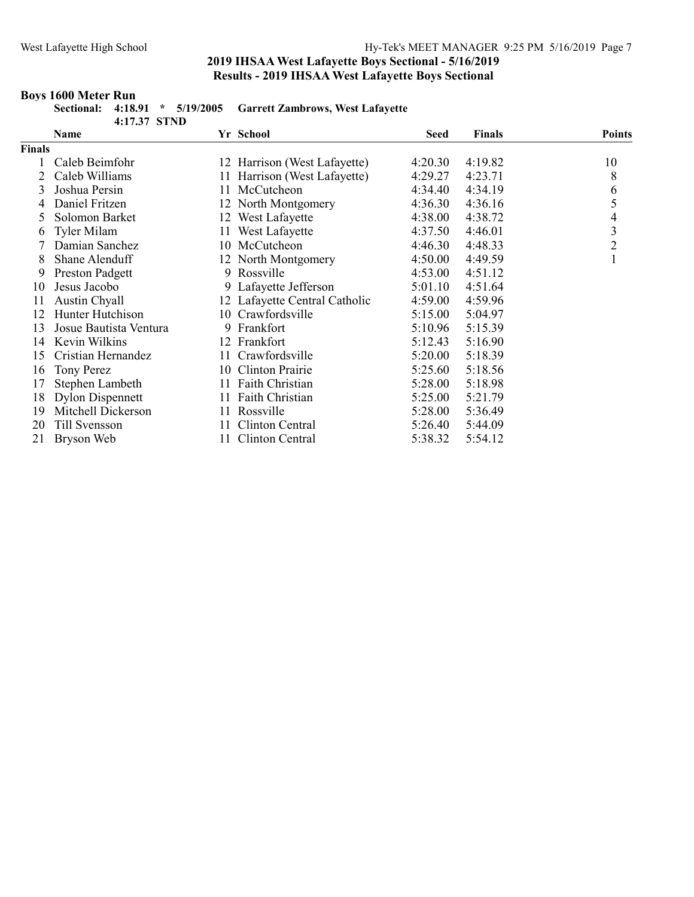### Boys 1600 Meter Run

|      |      | 4:17.37 STND |  | Sectional: 4:18.91 * 5/19/2005 Garrett Zambrows, West Lafayette |      |               |        |
|------|------|--------------|--|-----------------------------------------------------------------|------|---------------|--------|
|      | Name |              |  | Yr School                                                       | Seed | <b>Finals</b> | Points |
| $-1$ |      |              |  |                                                                 |      |               |        |

|               | <b>Name</b>             |     | Yr School                     | seed    | <b>Finals</b> | Points         |
|---------------|-------------------------|-----|-------------------------------|---------|---------------|----------------|
| <b>Finals</b> |                         |     |                               |         |               |                |
|               | Caleb Beimfohr          |     | 12 Harrison (West Lafayette)  | 4:20.30 | 4:19.82       | 10             |
|               | Caleb Williams          |     | 11 Harrison (West Lafayette)  | 4:29.27 | 4:23.71       | 8              |
| 3             | Joshua Persin           |     | 11 McCutcheon                 | 4:34.40 | 4:34.19       | 6              |
|               | Daniel Fritzen          |     | 12 North Montgomery           | 4:36.30 | 4:36.16       | 5              |
| 5.            | Solomon Barket          |     | 12 West Lafayette             | 4:38.00 | 4:38.72       | 4              |
| 6             | Tyler Milam             |     | 11 West Lafayette             | 4:37.50 | 4:46.01       | 3              |
|               | Damian Sanchez          |     | 10 McCutcheon                 | 4:46.30 | 4:48.33       | $\overline{2}$ |
| 8             | Shane Alenduff          |     | 12 North Montgomery           | 4:50.00 | 4:49.59       |                |
| 9.            | <b>Preston Padgett</b>  |     | 9 Rossville                   | 4:53.00 | 4:51.12       |                |
| 10            | Jesus Jacobo            |     | 9 Lafayette Jefferson         | 5:01.10 | 4:51.64       |                |
| 11            | Austin Chyall           |     | 12 Lafayette Central Catholic | 4:59.00 | 4:59.96       |                |
| 12            | Hunter Hutchison        |     | 10 Crawfordsville             | 5:15.00 | 5:04.97       |                |
| 13            | Josue Bautista Ventura  |     | 9 Frankfort                   | 5:10.96 | 5:15.39       |                |
| 14            | Kevin Wilkins           |     | 12 Frankfort                  | 5:12.43 | 5:16.90       |                |
| 15            | Cristian Hernandez      |     | 11 Crawfordsville             | 5:20.00 | 5:18.39       |                |
| 16            | Tony Perez              | 10- | Clinton Prairie               | 5:25.60 | 5:18.56       |                |
| 17            | Stephen Lambeth         | 11  | Faith Christian               | 5:28.00 | 5:18.98       |                |
| 18            | <b>Dylon Dispennett</b> |     | 11 Faith Christian            | 5:25.00 | 5:21.79       |                |
| 19            | Mitchell Dickerson      | 11  | Rossville                     | 5:28.00 | 5:36.49       |                |
| 20            | Till Svensson           | 11  | Clinton Central               | 5:26.40 | 5:44.09       |                |
| 21            | Bryson Web              | 11- | Clinton Central               | 5:38.32 | 5:54.12       |                |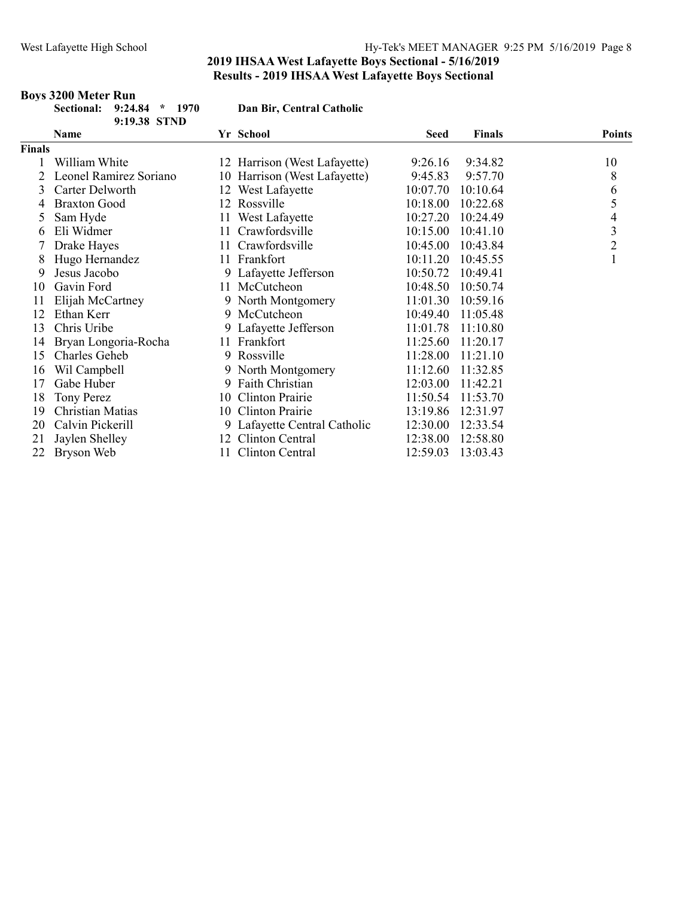Boys 3200 Meter Run

### 2019 IHSAA West Lafayette Boys Sectional - 5/16/2019 Results - 2019 IHSAA West Lafayette Boys Sectional

#### Sectional: 9:24.84 \* 1970 Dan Bir, Central Catholic 9:19.38 STND Name Seed Finals Points Finals William White 12 Harrison (West Lafayette) 9:26.16 9:34.82 10 Leonel Ramirez Soriano 10 Harrison (West Lafayette) 9:45.83 9:57.70 8 Carter Delworth 12 West Lafayette 10:07.70 10:10.64 6 Braxton Good 12 Rossville 10:18.00 10:22.68 5 5 Sam Hyde 11 West Lafayette 10:27.20 10:24.49 4 6 Eli Widmer 11 Crawfordsville 10:15.00 10:41.10 3<br>
7 Drake Hayes 11 Crawfordsville 10:45.00 10:43.84 2 Drake Hayes 11 Crawfordsville 10:45.00 10:43.84 2 8 Hugo Hernandez 11 Frankfort 10:11.20 10:45.55 1 Jesus Jacobo 9 Lafayette Jefferson 10:50.72 10:49.41 Gavin Ford 11 McCutcheon 10:48.50 10:50.74 Elijah McCartney 9 North Montgomery 11:01.30 10:59.16 Ethan Kerr 9 McCutcheon 10:49.40 11:05.48 Chris Uribe 9 Lafayette Jefferson 11:01.78 11:10.80 Bryan Longoria-Rocha 11 Frankfort 11:25.60 11:20.17 Charles Geheb 9 Rossville 11:28.00 11:21.10 Wil Campbell 9 North Montgomery 11:12.60 11:32.85 Gabe Huber 9 Faith Christian 12:03.00 11:42.21 Tony Perez 10 Clinton Prairie 11:50.54 11:53.70 Christian Matias 10 Clinton Prairie 13:19.86 12:31.97 Calvin Pickerill 9 Lafayette Central Catholic 12:30.00 12:33.54 Jaylen Shelley 12 Clinton Central 12:38.00 12:58.80 Bryson Web 11 Clinton Central 12:59.03 13:03.43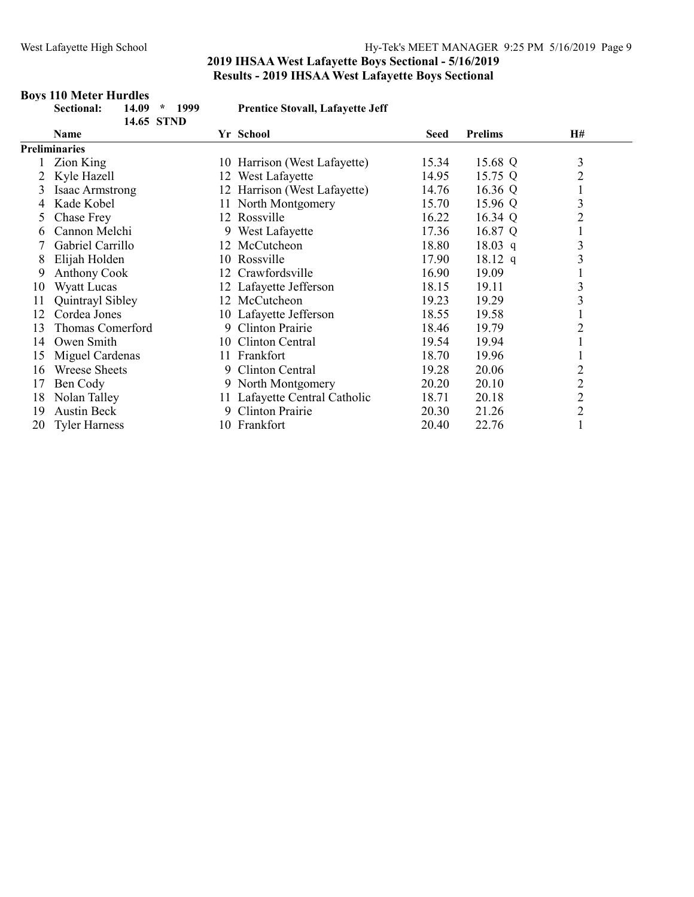Boys 110 Meter Hurdles

### 2019 IHSAA West Lafayette Boys Sectional - 5/16/2019 Results - 2019 IHSAA West Lafayette Boys Sectional

|    | Sectional:<br>14.09<br>1999<br>$\star$<br>14.65 STND |                   | <b>Prentice Stovall, Lafayette Jeff</b> |                |                |
|----|------------------------------------------------------|-------------------|-----------------------------------------|----------------|----------------|
|    | Name                                                 | Yr School         | Seed                                    | <b>Prelims</b> | <b>H#</b>      |
|    | <b>Preliminaries</b>                                 |                   |                                         |                |                |
|    | Zion King                                            |                   | 10 Harrison (West Lafayette)<br>15.34   | 15.68 Q        | 3              |
| 2  | Kyle Hazell                                          | 12 West Lafayette | 14.95                                   | 15.75 Q        | $\overline{2}$ |
| 3  | Isaac Armstrong                                      |                   | 12 Harrison (West Lafayette)<br>14.76   | 16.36 $Q$      |                |
| 4  | Kade Kobel                                           |                   | 11 North Montgomery<br>15.70            | 15.96 Q        | 3              |
| 5. | Chase Frey                                           | 12 Rossville      | 16.22                                   | 16.34 Q        | $\overline{2}$ |
| 6  | Cannon Melchi                                        |                   | 17.36<br>9 West Lafayette               | 16.87 Q        | $\mathbf{I}$   |
|    | Gabriel Carrillo                                     | 12 McCutcheon     | 18.80                                   | $18.03$ q      | 3              |
| 8  | Elijah Holden                                        | 10 Rossville      | 17.90                                   | $18.12$ q      | 3              |
| 9  | <b>Anthony Cook</b>                                  | 12                | Crawfordsville<br>16.90                 | 19.09          |                |
| 10 | Wyatt Lucas                                          |                   | 12 Lafayette Jefferson<br>18.15         | 19.11          | 3              |
| 11 | Quintrayl Sibley                                     | 12 McCutcheon     | 19.23                                   | 19.29          | 3              |
| 12 | Cordea Jones                                         |                   | 10 Lafayette Jefferson<br>18.55         | 19.58          |                |
| 13 | Thomas Comerford                                     |                   | 9 Clinton Prairie<br>18.46              | 19.79          | $\overline{c}$ |
| 14 | Owen Smith                                           | 10                | Clinton Central<br>19.54                | 19.94          |                |
| 15 | Miguel Cardenas                                      | 11 Frankfort      | 18.70                                   | 19.96          |                |
| 16 | Wreese Sheets                                        | 9                 | Clinton Central<br>19.28                | 20.06          | $\overline{c}$ |
| 17 | Ben Cody                                             |                   | 9 North Montgomery<br>20.20             | 20.10          | $\overline{c}$ |
| 18 | Nolan Talley                                         |                   | 11 Lafayette Central Catholic<br>18.71  | 20.18          | $\overline{c}$ |
| 19 | <b>Austin Beck</b>                                   | 9                 | Clinton Prairie<br>20.30                | 21.26          | $\overline{c}$ |
| 20 | <b>Tyler Harness</b>                                 | 10 Frankfort      | 20.40                                   | 22.76          |                |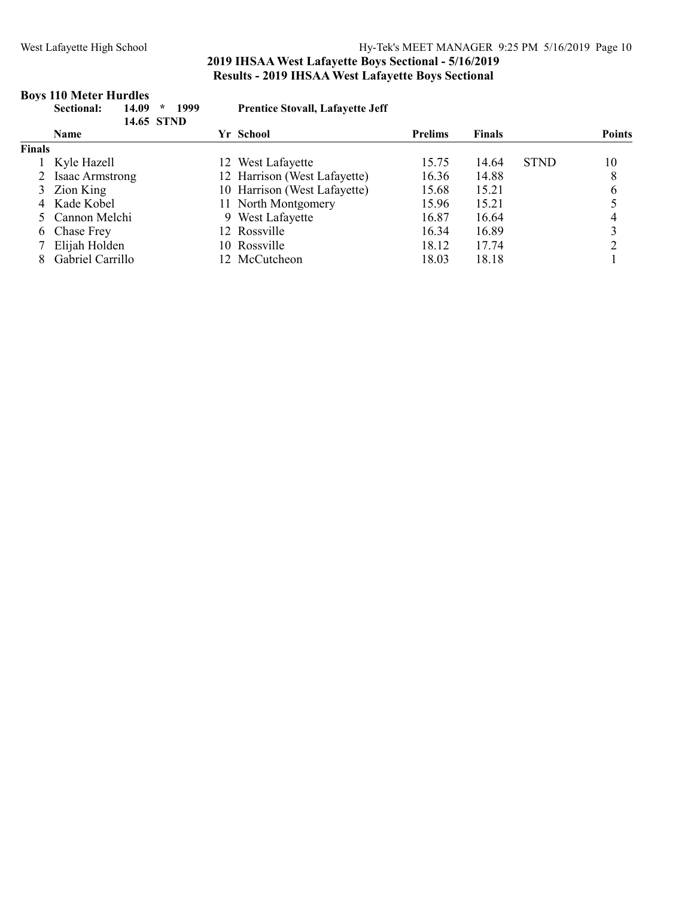### West Lafayette High School Hy-Tek's MEET MANAGER 9:25 PM 5/16/2019 Page 10

### 2019 IHSAA West Lafayette Boys Sectional - 5/16/2019 Results - 2019 IHSAA West Lafayette Boys Sectional

|        | 14.09<br>1999<br><b>Sectional:</b><br>$\star$<br>14.65 STND | <b>Prentice Stovall, Lafayette Jeff</b> |                |               |             |               |
|--------|-------------------------------------------------------------|-----------------------------------------|----------------|---------------|-------------|---------------|
|        | Name                                                        | Yr School                               | <b>Prelims</b> | <b>Finals</b> |             | <b>Points</b> |
| Finals |                                                             |                                         |                |               |             |               |
|        | Kyle Hazell                                                 | 12 West Lafayette                       | 15.75          | 14.64         | <b>STND</b> | 10            |
|        | <b>Isaac Armstrong</b>                                      | 12 Harrison (West Lafayette)            | 16.36          | 14.88         |             | 8             |
|        | 3 Zion King                                                 | 10 Harrison (West Lafayette)            | 15.68          | 15.21         |             | 6             |
|        | 4 Kade Kobel                                                | 11 North Montgomery                     | 15.96          | 15.21         |             |               |
|        | 5 Cannon Melchi                                             | 9 West Lafayette                        | 16.87          | 16.64         |             |               |
|        | 6 Chase Frey                                                | 12 Rossville                            | 16.34          | 16.89         |             |               |
|        | Elijah Holden                                               | 10 Rossville                            | 18.12          | 17.74         |             |               |
|        | Gabriel Carrillo                                            | 12 McCutcheon                           | 18.03          | 18.18         |             |               |

### Boys 110 Meter Hurdles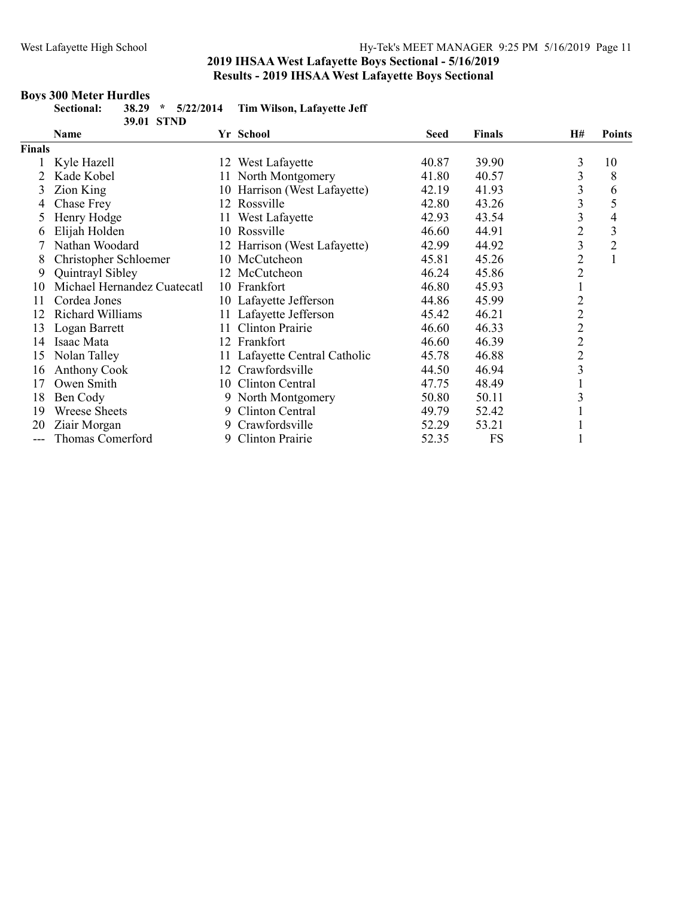### Boys 300 Meter Hurdles

|               | Sectional:<br>38.29<br>5/22/2014<br>$\star$<br>39.01 STND |     | Tim Wilson, Lafayette Jeff   |       |               |                |                |
|---------------|-----------------------------------------------------------|-----|------------------------------|-------|---------------|----------------|----------------|
|               | Name                                                      |     | Yr School                    | Seed  | <b>Finals</b> | <b>H#</b>      | <b>Points</b>  |
| <b>Finals</b> |                                                           |     |                              |       |               |                |                |
|               | Kyle Hazell                                               |     | 12 West Lafayette            | 40.87 | 39.90         | 3              | 10             |
| 2             | Kade Kobel                                                |     | 11 North Montgomery          | 41.80 | 40.57         | 3              | 8              |
| 3             | Zion King                                                 |     | 10 Harrison (West Lafayette) | 42.19 | 41.93         | 3              | 6              |
| 4             | Chase Frey                                                | 12  | Rossville                    | 42.80 | 43.26         | 3              | 5              |
| 5.            | Henry Hodge                                               | 11- | West Lafayette               | 42.93 | 43.54         | 3              | 4              |
| O             | Elijah Holden                                             |     | 10 Rossville                 | 46.60 | 44.91         | $\overline{c}$ | 3              |
|               | Nathan Woodard                                            |     | 12 Harrison (West Lafayette) | 42.99 | 44.92         | 3              | $\overline{2}$ |
| 8             | Christopher Schloemer                                     |     | 10 McCutcheon                | 45.81 | 45.26         | $\overline{c}$ | $\mathbf{1}$   |
| 9             | Quintrayl Sibley                                          |     | 12 McCutcheon                | 46.24 | 45.86         | $\overline{2}$ |                |
| 10            | Michael Hernandez Cuatecatl                               |     | 10 Frankfort                 | 46.80 | 45.93         | $\mathbf{1}$   |                |
| 11            | Cordea Jones                                              |     | 10 Lafayette Jefferson       | 44.86 | 45.99         | $\overline{c}$ |                |
| 12            | Richard Williams                                          |     | 11 Lafayette Jefferson       | 45.42 | 46.21         | $\overline{c}$ |                |
| 13            | Logan Barrett                                             | 11  | <b>Clinton Prairie</b>       | 46.60 | 46.33         | $\overline{c}$ |                |
| 14            | Isaac Mata                                                | 12  | Frankfort                    | 46.60 | 46.39         | $\overline{c}$ |                |
| 15            | Nolan Talley                                              | 11. | Lafayette Central Catholic   | 45.78 | 46.88         | $\overline{c}$ |                |
| 16            | <b>Anthony Cook</b>                                       | 12  | Crawfordsville               | 44.50 | 46.94         | 3              |                |
| 17            | Owen Smith                                                | 10  | Clinton Central              | 47.75 | 48.49         |                |                |
| 18            | Ben Cody                                                  |     | 9 North Montgomery           | 50.80 | 50.11         | 3              |                |
| 19            | <b>Wreese Sheets</b>                                      | 9   | Clinton Central              | 49.79 | 52.42         |                |                |
| 20            | Ziair Morgan                                              | 9   | Crawfordsville               | 52.29 | 53.21         |                |                |
| $---$         | Thomas Comerford                                          | 9   | <b>Clinton Prairie</b>       | 52.35 | <b>FS</b>     |                |                |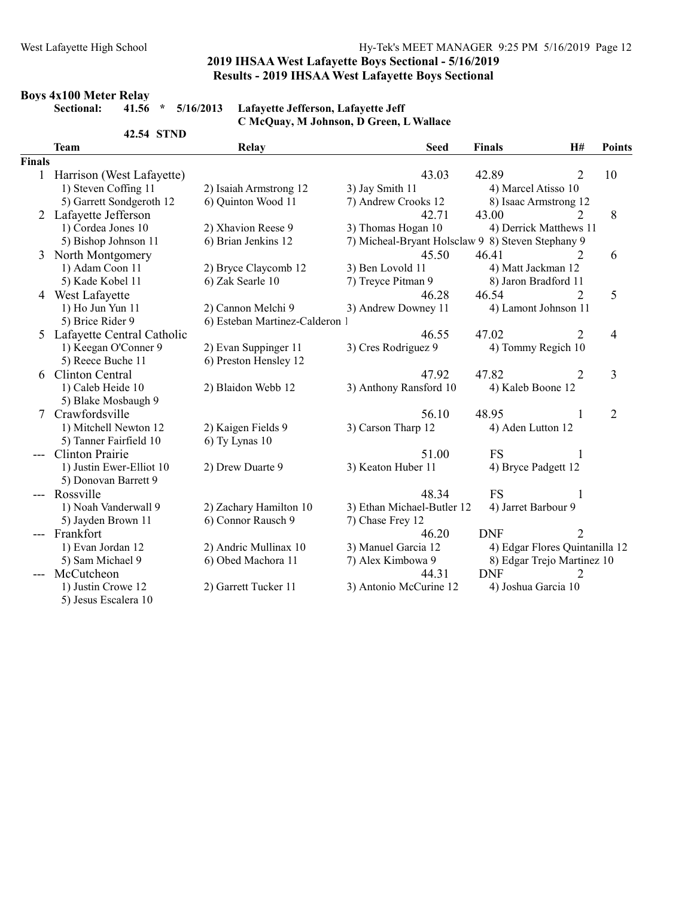# **Boys 4x100 Meter Relay<br>Sectional:** 41.56 \* 5/16/2013

Lafayette Jefferson, Lafayette Jeff C McQuay, M Johnson, D Green, L Wallace

|               | 42.54 STND                   |                              |                                                   |                                |                |                |
|---------------|------------------------------|------------------------------|---------------------------------------------------|--------------------------------|----------------|----------------|
|               | <b>Team</b>                  | Relay                        | <b>Seed</b>                                       | <b>Finals</b>                  | H#             | <b>Points</b>  |
| <b>Finals</b> |                              |                              |                                                   |                                |                |                |
|               | 1 Harrison (West Lafayette)  |                              | 43.03                                             | 42.89                          | 2              | 10             |
|               | 1) Steven Coffing 11         | 2) Isaiah Armstrong 12       | 3) Jay Smith 11                                   | 4) Marcel Atisso 10            |                |                |
|               | 5) Garrett Sondgeroth 12     | 6) Quinton Wood 11           | 7) Andrew Crooks 12                               | 8) Isaac Armstrong 12          |                |                |
|               | 2 Lafayette Jefferson        |                              | 42.71                                             | 43.00                          | 2              | 8              |
|               | 1) Cordea Jones 10           | 2) Xhavion Reese 9           | 3) Thomas Hogan 10                                | 4) Derrick Matthews 11         |                |                |
|               | 5) Bishop Johnson 11         | 6) Brian Jenkins 12          | 7) Micheal-Bryant Holsclaw 9 8) Steven Stephany 9 |                                |                |                |
| 3             | North Montgomery             |                              | 45.50                                             | 46.41                          | 2              | 6              |
|               | 1) Adam Coon 11              | 2) Bryce Claycomb 12         | 3) Ben Lovold 11                                  | 4) Matt Jackman 12             |                |                |
|               | 5) Kade Kobel 11             | 6) Zak Searle 10             | 7) Treyce Pitman 9                                | 8) Jaron Bradford 11           |                |                |
|               | 4 West Lafayette             |                              | 46.28                                             | 46.54                          | 2              | 5              |
|               | 1) Ho Jun Yun 11             | 2) Cannon Melchi 9           | 3) Andrew Downey 11                               | 4) Lamont Johnson 11           |                |                |
|               | 5) Brice Rider 9             | 6) Esteban Martinez-Calderon |                                                   |                                |                |                |
|               | 5 Lafayette Central Catholic |                              | 46.55                                             | 47.02                          | $\overline{2}$ | 4              |
|               | 1) Keegan O'Conner 9         | 2) Evan Suppinger 11         | 3) Cres Rodriguez 9                               | 4) Tommy Regich 10             |                |                |
|               | 5) Reece Buche 11            | 6) Preston Hensley 12        |                                                   |                                |                |                |
|               | 6 Clinton Central            |                              | 47.92                                             | 47.82                          | $\overline{2}$ | 3              |
|               | 1) Caleb Heide 10            | 2) Blaidon Webb 12           | 3) Anthony Ransford 10                            | 4) Kaleb Boone 12              |                |                |
|               | 5) Blake Mosbaugh 9          |                              |                                                   |                                |                |                |
| 7             | Crawfordsville               |                              | 56.10                                             | 48.95                          | 1              | $\overline{2}$ |
|               | 1) Mitchell Newton 12        | 2) Kaigen Fields 9           | 3) Carson Tharp 12                                | 4) Aden Lutton 12              |                |                |
|               | 5) Tanner Fairfield 10       | 6) Ty Lynas 10               |                                                   |                                |                |                |
|               | <b>Clinton Prairie</b>       |                              | 51.00                                             | <b>FS</b>                      |                |                |
|               | 1) Justin Ewer-Elliot 10     | 2) Drew Duarte 9             | 3) Keaton Huber 11                                | 4) Bryce Padgett 12            |                |                |
|               | 5) Donovan Barrett 9         |                              |                                                   |                                |                |                |
|               | --- Rossville                |                              | 48.34                                             | <b>FS</b>                      |                |                |
|               | 1) Noah Vanderwall 9         | 2) Zachary Hamilton 10       | 3) Ethan Michael-Butler 12                        | 4) Jarret Barbour 9            |                |                |
|               | 5) Jayden Brown 11           | 6) Connor Rausch 9           | 7) Chase Frey 12                                  |                                |                |                |
|               | Frankfort                    |                              | 46.20                                             | <b>DNF</b>                     | $\overline{2}$ |                |
|               | 1) Evan Jordan 12            | 2) Andric Mullinax 10        | 3) Manuel Garcia 12                               | 4) Edgar Flores Quintanilla 12 |                |                |
|               | 5) Sam Michael 9             | 6) Obed Machora 11           | 7) Alex Kimbowa 9                                 | 8) Edgar Trejo Martinez 10     |                |                |
|               | McCutcheon                   |                              | 44.31                                             | <b>DNF</b>                     | 2              |                |
|               | 1) Justin Crowe 12           | 2) Garrett Tucker 11         | 3) Antonio McCurine 12                            | 4) Joshua Garcia 10            |                |                |
|               | 5) Jesus Escalera 10         |                              |                                                   |                                |                |                |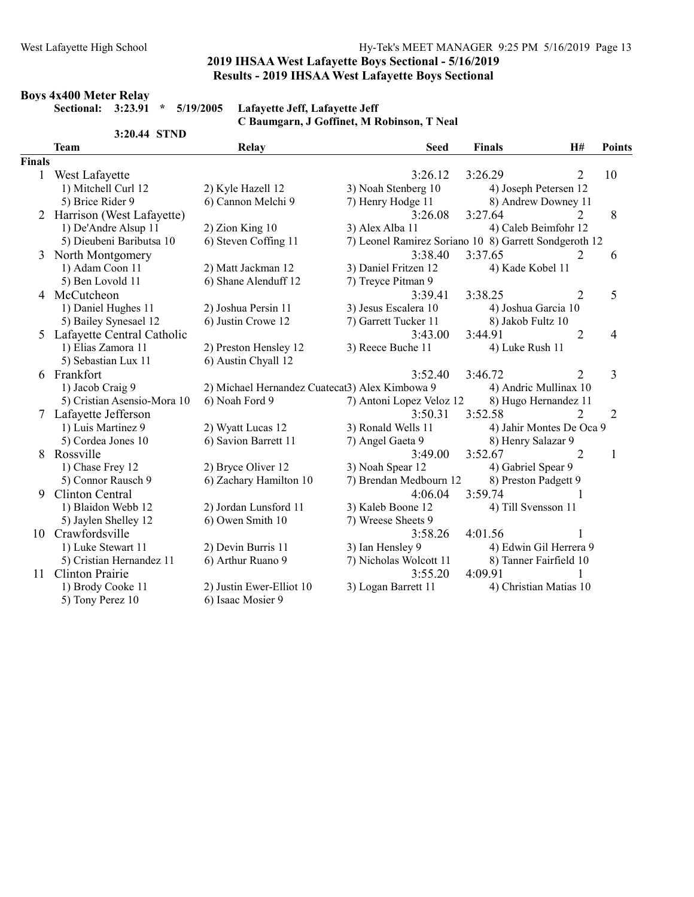## Boys 4x400 Meter Relay

Sectional: 3:23.91 \* 5/19/2005 Lafayette Jeff, Lafayette Jeff C Baumgarn, J Goffinet, M Robinson, T Neal

|               | 3:20.44 STND                 |                                                |                                                       |                      |                          |                |
|---------------|------------------------------|------------------------------------------------|-------------------------------------------------------|----------------------|--------------------------|----------------|
|               | <b>Team</b>                  | Relay                                          | <b>Seed</b>                                           | <b>Finals</b>        | H#                       | <b>Points</b>  |
| <b>Finals</b> |                              |                                                |                                                       |                      |                          |                |
| $\mathbf{1}$  | West Lafayette               |                                                | 3:26.12                                               | 3:26.29              | 2                        | 10             |
|               | 1) Mitchell Curl 12          | 2) Kyle Hazell 12                              | 3) Noah Stenberg 10                                   |                      | 4) Joseph Petersen 12    |                |
|               | 5) Brice Rider 9             | 6) Cannon Melchi 9                             | 7) Henry Hodge 11                                     |                      | 8) Andrew Downey 11      |                |
|               | 2 Harrison (West Lafayette)  |                                                | 3:26.08                                               | 3:27.64              | 2                        | 8              |
|               | 1) De'Andre Alsup 11         | 2) Zion King 10                                | 3) Alex Alba 11                                       |                      | 4) Caleb Beimfohr 12     |                |
|               | 5) Dieubeni Baributsa 10     | 6) Steven Coffing 11                           | 7) Leonel Ramirez Soriano 10 8) Garrett Sondgeroth 12 |                      |                          |                |
| 3             | North Montgomery             |                                                | 3:38.40                                               | 3:37.65              | 2                        | 6              |
|               | 1) Adam Coon 11              | 2) Matt Jackman 12                             | 3) Daniel Fritzen 12                                  | 4) Kade Kobel 11     |                          |                |
|               | 5) Ben Lovold 11             | 6) Shane Alenduff 12                           | 7) Treyce Pitman 9                                    |                      |                          |                |
| 4             | McCutcheon                   |                                                | 3:39.41                                               | 3:38.25              | $\overline{2}$           | 5              |
|               | 1) Daniel Hughes 11          | 2) Joshua Persin 11                            | 3) Jesus Escalera 10                                  | 4) Joshua Garcia 10  |                          |                |
|               | 5) Bailey Synesael 12        | 6) Justin Crowe 12                             | 7) Garrett Tucker 11                                  | 8) Jakob Fultz 10    |                          |                |
|               | 5 Lafayette Central Catholic |                                                | 3:43.00                                               | 3:44.91              | $\overline{2}$           | 4              |
|               | 1) Elias Zamora 11           | 2) Preston Hensley 12                          | 3) Reece Buche 11                                     | 4) Luke Rush 11      |                          |                |
|               | 5) Sebastian Lux 11          | 6) Austin Chyall 12                            |                                                       |                      |                          |                |
|               | 6 Frankfort                  |                                                | 3:52.40                                               | 3:46.72              | $\overline{2}$           | 3              |
|               | 1) Jacob Craig 9             | 2) Michael Hernandez Cuatecat3) Alex Kimbowa 9 |                                                       |                      | 4) Andric Mullinax 10    |                |
|               | 5) Cristian Asensio-Mora 10  | 6) Noah Ford 9                                 | 7) Antoni Lopez Veloz 12                              |                      | 8) Hugo Hernandez 11     |                |
|               | 7 Lafayette Jefferson        |                                                | 3:50.31                                               | 3:52.58              | $\overline{2}$           | $\overline{2}$ |
|               | 1) Luis Martinez 9           | 2) Wyatt Lucas 12                              | 3) Ronald Wells 11                                    |                      | 4) Jahir Montes De Oca 9 |                |
|               | 5) Cordea Jones 10           | 6) Savion Barrett 11                           | 7) Angel Gaeta 9                                      | 8) Henry Salazar 9   |                          |                |
| 8             | Rossville                    |                                                | 3:49.00                                               | 3:52.67              | $\overline{2}$           | 1              |
|               | 1) Chase Frey 12             | 2) Bryce Oliver 12                             | 3) Noah Spear 12                                      | 4) Gabriel Spear 9   |                          |                |
|               | 5) Connor Rausch 9           | 6) Zachary Hamilton 10                         | 7) Brendan Medbourn 12                                | 8) Preston Padgett 9 |                          |                |
| 9             | Clinton Central              |                                                | 4:06.04                                               | 3:59.74              |                          |                |
|               | 1) Blaidon Webb 12           | 2) Jordan Lunsford 11                          | 3) Kaleb Boone 12                                     | 4) Till Svensson 11  |                          |                |
|               | 5) Jaylen Shelley 12         | 6) Owen Smith 10                               | 7) Wreese Sheets 9                                    |                      |                          |                |
|               | 10 Crawfordsville            |                                                | 3:58.26                                               | 4:01.56              |                          |                |
|               | 1) Luke Stewart 11           | 2) Devin Burris 11                             | 3) Ian Hensley 9                                      |                      | 4) Edwin Gil Herrera 9   |                |
|               | 5) Cristian Hernandez 11     | 6) Arthur Ruano 9                              | 7) Nicholas Wolcott 11                                |                      | 8) Tanner Fairfield 10   |                |
| 11            | <b>Clinton Prairie</b>       |                                                | 3:55.20                                               | 4:09.91              |                          |                |
|               | 1) Brody Cooke 11            | 2) Justin Ewer-Elliot 10                       | 3) Logan Barrett 11                                   |                      | 4) Christian Matias 10   |                |
|               | 5) Tony Perez 10             | 6) Isaac Mosier 9                              |                                                       |                      |                          |                |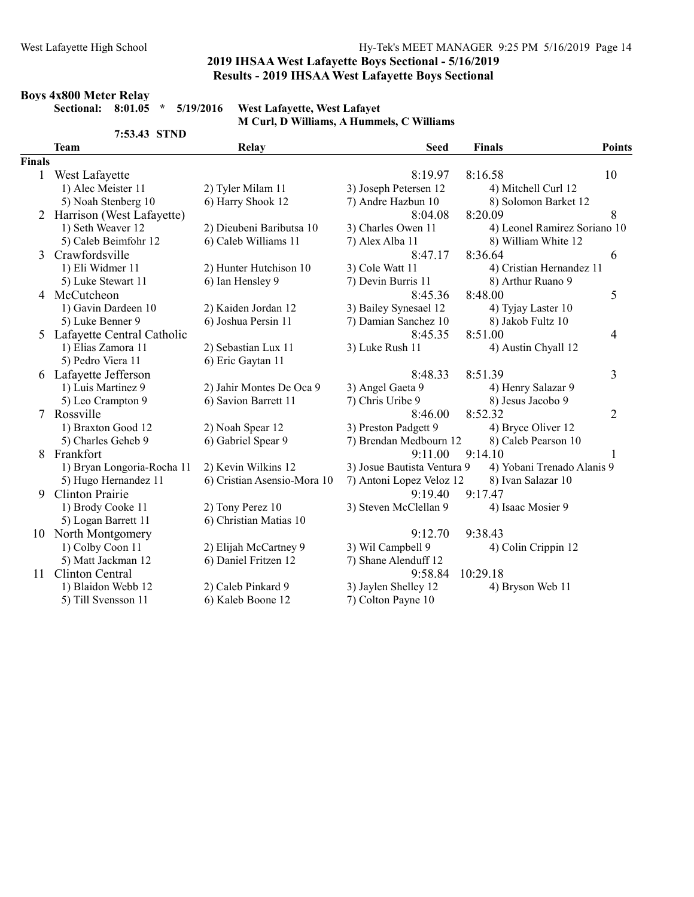# Boys 4x800 Meter Relay

Sectional: 8:01.05 \* 5/19/2016 West Lafayette, West Lafayet M Curl, D Williams, A Hummels, C Williams

|               | 7:53.43 STND                 |                             |                             |                              |                |
|---------------|------------------------------|-----------------------------|-----------------------------|------------------------------|----------------|
|               | <b>Team</b>                  | Relay                       | <b>Seed</b>                 | <b>Finals</b>                | <b>Points</b>  |
| <b>Finals</b> |                              |                             |                             |                              |                |
| $\mathbf{1}$  | West Lafayette               |                             | 8:19.97                     | 8:16.58                      | 10             |
|               | 1) Alec Meister 11           | 2) Tyler Milam 11           | 3) Joseph Petersen 12       | 4) Mitchell Curl 12          |                |
|               | 5) Noah Stenberg 10          | 6) Harry Shook 12           | 7) Andre Hazbun 10          | 8) Solomon Barket 12         |                |
|               | 2 Harrison (West Lafayette)  |                             | 8:04.08                     | 8:20.09                      | 8              |
|               | 1) Seth Weaver 12            | 2) Dieubeni Baributsa 10    | 3) Charles Owen 11          | 4) Leonel Ramirez Soriano 10 |                |
|               | 5) Caleb Beimfohr 12         | 6) Caleb Williams 11        | 7) Alex Alba 11             | 8) William White 12          |                |
| 3             | Crawfordsville               |                             | 8:47.17                     | 8:36.64                      | 6              |
|               | 1) Eli Widmer 11             | 2) Hunter Hutchison 10      | 3) Cole Watt 11             | 4) Cristian Hernandez 11     |                |
|               | 5) Luke Stewart 11           | 6) Ian Hensley 9            | 7) Devin Burris 11          | 8) Arthur Ruano 9            |                |
|               | 4 McCutcheon                 |                             | 8:45.36                     | 8:48.00                      | 5              |
|               | 1) Gavin Dardeen 10          | 2) Kaiden Jordan 12         | 3) Bailey Synesael 12       | 4) Tyjay Laster 10           |                |
|               | 5) Luke Benner 9             | 6) Joshua Persin 11         | 7) Damian Sanchez 10        | 8) Jakob Fultz 10            |                |
|               | 5 Lafayette Central Catholic |                             | 8:45.35                     | 8:51.00                      | 4              |
|               | 1) Elias Zamora 11           | 2) Sebastian Lux 11         | 3) Luke Rush 11             | 4) Austin Chyall 12          |                |
|               | 5) Pedro Viera 11            | 6) Eric Gaytan 11           |                             |                              |                |
|               | 6 Lafayette Jefferson        |                             | 8:48.33                     | 8:51.39                      | 3              |
|               | 1) Luis Martinez 9           | 2) Jahir Montes De Oca 9    | 3) Angel Gaeta 9            | 4) Henry Salazar 9           |                |
|               | 5) Leo Crampton 9            | 6) Savion Barrett 11        | 7) Chris Uribe 9            | 8) Jesus Jacobo 9            |                |
| 7             | Rossville                    |                             | 8:46.00                     | 8:52.32                      | $\overline{2}$ |
|               | 1) Braxton Good 12           | 2) Noah Spear 12            | 3) Preston Padgett 9        | 4) Bryce Oliver 12           |                |
|               | 5) Charles Geheb 9           | 6) Gabriel Spear 9          | 7) Brendan Medbourn 12      | 8) Caleb Pearson 10          |                |
| 8             | Frankfort                    |                             | 9:11.00                     | 9:14.10                      |                |
|               | 1) Bryan Longoria-Rocha 11   | 2) Kevin Wilkins 12         | 3) Josue Bautista Ventura 9 | 4) Yobani Trenado Alanis 9   |                |
|               | 5) Hugo Hernandez 11         | 6) Cristian Asensio-Mora 10 | 7) Antoni Lopez Veloz 12    | 8) Ivan Salazar 10           |                |
| 9             | <b>Clinton Prairie</b>       |                             | 9:19.40                     | 9:17.47                      |                |
|               | 1) Brody Cooke 11            | 2) Tony Perez 10            | 3) Steven McClellan 9       | 4) Isaac Mosier 9            |                |
|               | 5) Logan Barrett 11          | 6) Christian Matias 10      |                             |                              |                |
|               | 10 North Montgomery          |                             | 9:12.70                     | 9:38.43                      |                |
|               | 1) Colby Coon 11             | 2) Elijah McCartney 9       | 3) Wil Campbell 9           | 4) Colin Crippin 12          |                |
|               | 5) Matt Jackman 12           | 6) Daniel Fritzen 12        | 7) Shane Alenduff 12        |                              |                |
| 11            | Clinton Central              |                             | 9:58.84                     | 10:29.18                     |                |
|               | 1) Blaidon Webb 12           | 2) Caleb Pinkard 9          | 3) Jaylen Shelley 12        | 4) Bryson Web 11             |                |
|               | 5) Till Svensson 11          | 6) Kaleb Boone 12           | 7) Colton Payne 10          |                              |                |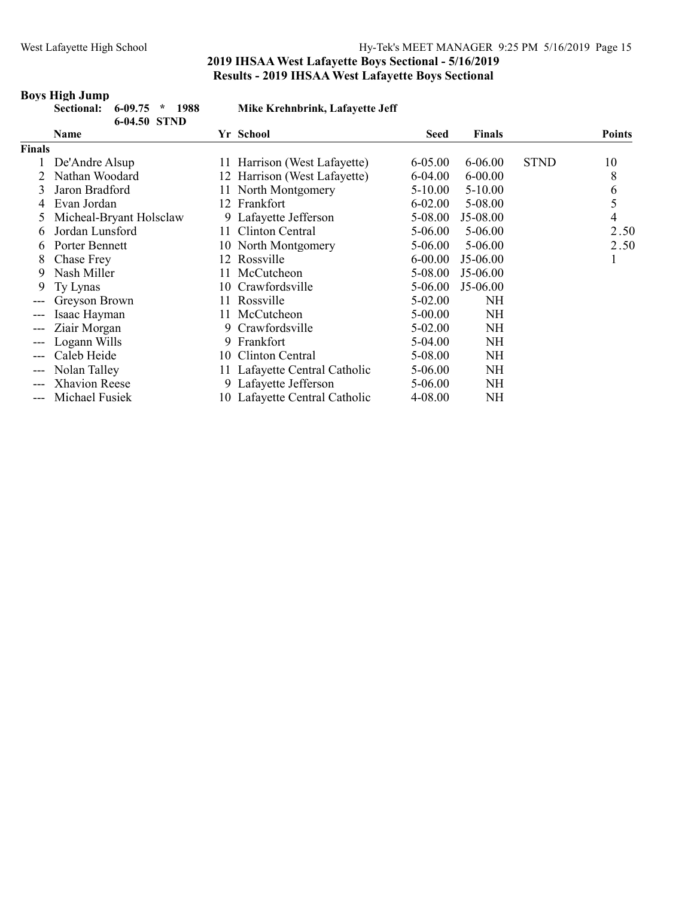#### Boys High Jump

|               | 6-09.75<br>Sectional:<br>1988<br>$\star$<br>6-04.50 STND |     | Mike Krehnbrink, Lafayette Jeff |             |               |             |               |
|---------------|----------------------------------------------------------|-----|---------------------------------|-------------|---------------|-------------|---------------|
|               | <b>Name</b>                                              |     | Yr School                       | Seed        | <b>Finals</b> |             | <b>Points</b> |
| <b>Finals</b> |                                                          |     |                                 |             |               |             |               |
|               | De'Andre Alsup                                           |     | 11 Harrison (West Lafayette)    | $6 - 05.00$ | 6-06.00       | <b>STND</b> | 10            |
|               | Nathan Woodard                                           |     | 12 Harrison (West Lafayette)    | $6-04.00$   | $6 - 00.00$   |             | 8             |
| 3             | Jaron Bradford                                           |     | 11 North Montgomery             | $5-10.00$   | $5-10.00$     |             | 6             |
| 4             | Evan Jordan                                              |     | 12 Frankfort                    | $6 - 02.00$ | 5-08.00       |             | 5             |
|               | Micheal-Bryant Holsclaw                                  |     | 9 Lafayette Jefferson           | 5-08.00     | $J5-08.00$    |             | 4             |
| 6             | Jordan Lunsford                                          | 11  | Clinton Central                 | 5-06.00     | 5-06.00       |             | 2.50          |
| 6             | Porter Bennett                                           |     | 10 North Montgomery             | $5-06.00$   | 5-06.00       |             | 2.50          |
| 8             | Chase Frey                                               |     | 12 Rossville                    | $6 - 00.00$ | $J5-06.00$    |             |               |
| 9             | Nash Miller                                              | 11  | McCutcheon                      | 5-08.00     | J5-06.00      |             |               |
| 9             | Ty Lynas                                                 |     | 10 Crawfordsville               | $5-06.00$   | $J5-06.00$    |             |               |
| ---           | Greyson Brown                                            | 11- | Rossville                       | 5-02.00     | NH            |             |               |
|               | Isaac Hayman                                             | 11  | McCutcheon                      | $5-00.00$   | <b>NH</b>     |             |               |
| ---           | Ziair Morgan                                             | 9   | Crawfordsville                  | 5-02.00     | <b>NH</b>     |             |               |
|               | Logann Wills                                             | 9   | Frankfort                       | 5-04.00     | NH            |             |               |
| ---           | Caleb Heide                                              | 10  | Clinton Central                 | 5-08.00     | <b>NH</b>     |             |               |
| ---           | Nolan Talley                                             |     | 11 Lafayette Central Catholic   | 5-06.00     | <b>NH</b>     |             |               |
| ---           | <b>Xhavion Reese</b>                                     |     | 9 Lafayette Jefferson           | 5-06.00     | <b>NH</b>     |             |               |
| ---           | Michael Fusiek                                           |     | 10 Lafayette Central Catholic   | 4-08.00     | NH            |             |               |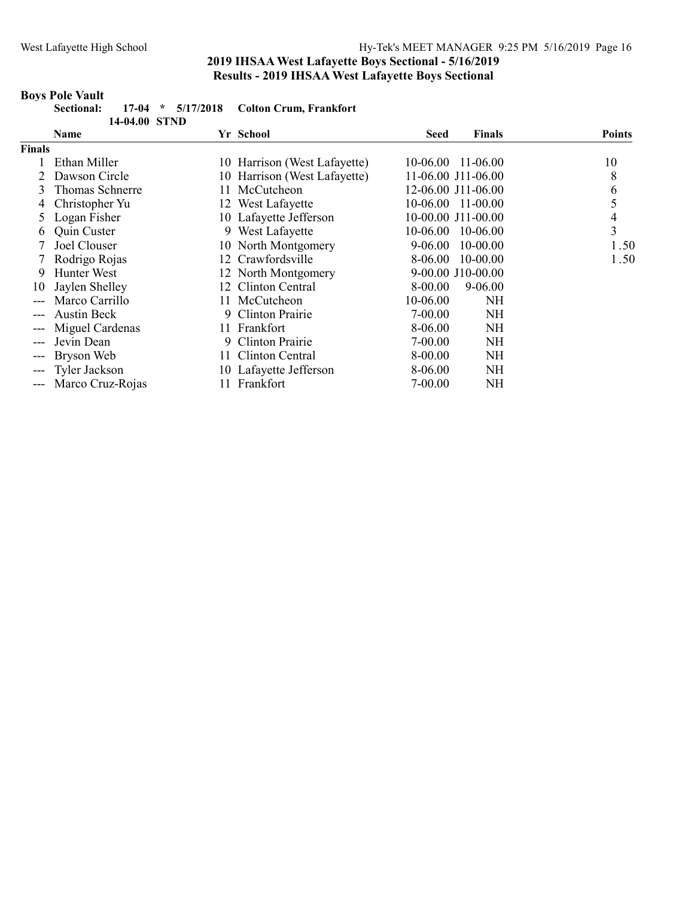# **Boys Pole Vault**<br>Sectional:

|               | Sectional:<br>$17-04$        | 5/17/2018<br>$\star$ | <b>Colton Crum, Frankfort</b> |              |                    |               |
|---------------|------------------------------|----------------------|-------------------------------|--------------|--------------------|---------------|
|               | 14-04.00 STND<br><b>Name</b> |                      | Yr School                     | Seed         | <b>Finals</b>      | <b>Points</b> |
| <b>Finals</b> |                              |                      |                               |              |                    |               |
|               | Ethan Miller                 |                      | 10 Harrison (West Lafayette)  |              | 10-06.00 11-06.00  | 10            |
|               | Dawson Circle                |                      | 10 Harrison (West Lafayette)  |              | 11-06.00 J11-06.00 | 8             |
| 3             | Thomas Schnerre              | 11                   | McCutcheon                    |              | 12-06.00 J11-06.00 | 6             |
| 4             | Christopher Yu               |                      | 12 West Lafayette             | 10-06.00     | 11-00.00           | 5             |
|               | Logan Fisher                 |                      | 10 Lafayette Jefferson        |              | 10-00.00 J11-00.00 | 4             |
| $\mathfrak b$ | Quin Custer                  |                      | 9 West Lafayette              | $10 - 06.00$ | 10-06.00           | 3             |
|               | Joel Clouser                 |                      | 10 North Montgomery           | $9-06.00$    | 10-00.00           | 1.50          |
|               | Rodrigo Rojas                |                      | 12 Crawfordsville             | 8-06.00      | 10-00.00           | 1.50          |
| 9             | Hunter West                  |                      | 12 North Montgomery           |              | 9-00.00 J10-00.00  |               |
| 10            | Jaylen Shelley               | 12                   | Clinton Central               | 8-00.00      | 9-06.00            |               |
| ---           | Marco Carrillo               | 11.                  | McCutcheon                    | 10-06.00     | NH                 |               |
|               | <b>Austin Beck</b>           | 9                    | <b>Clinton Prairie</b>        | $7 - 00.00$  | <b>NH</b>          |               |
|               | Miguel Cardenas              | 11-                  | Frankfort                     | 8-06.00      | NH                 |               |
|               | Jevin Dean                   | 9                    | Clinton Prairie               | $7 - 00.00$  | <b>NH</b>          |               |
|               | Bryson Web                   | 11-                  | Clinton Central               | 8-00.00      | NH                 |               |
| ---           | Tyler Jackson                |                      | 10 Lafayette Jefferson        | 8-06.00      | <b>NH</b>          |               |
|               | Marco Cruz-Rojas             |                      | 11 Frankfort                  | 7-00.00      | NH                 |               |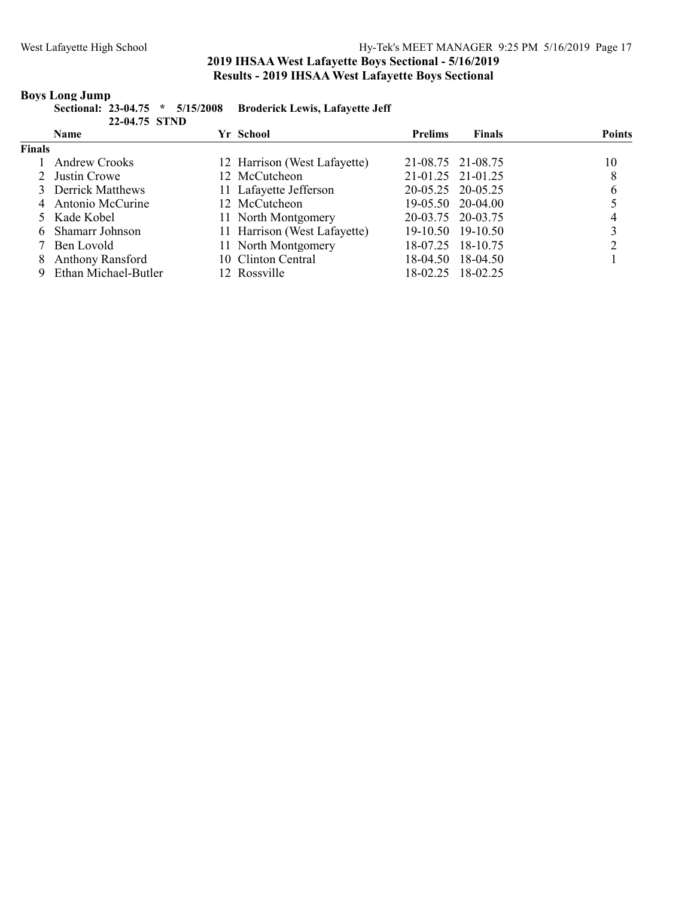# **Boys Long Jump**<br>Sectional: 2

|               | Sectional: 23-04.75 * 5/15/2008 Broderick Lewis, Lafayette Jeff |
|---------------|-----------------------------------------------------------------|
| 22-04.75 STND |                                                                 |

|               | <b>Name</b>          | Yr School                    | <b>Prelims</b>    | <b>Finals</b>     | <b>Points</b> |
|---------------|----------------------|------------------------------|-------------------|-------------------|---------------|
| <b>Finals</b> |                      |                              |                   |                   |               |
|               | <b>Andrew Crooks</b> | 12 Harrison (West Lafayette) | 21-08.75 21-08.75 |                   | 10            |
|               | 2 Justin Crowe       | 12 McCutcheon                | 21-01.25 21-01.25 |                   | 8             |
|               | 3 Derrick Matthews   | 11 Lafayette Jefferson       | 20-05.25 20-05.25 |                   | 6             |
|               | 4 Antonio McCurine   | 12 McCutcheon                |                   | 19-05.50 20-04.00 |               |
|               | 5 Kade Kobel         | 11 North Montgomery          | 20-03.75 20-03.75 |                   |               |
|               | 6 Shamarr Johnson    | 11 Harrison (West Lafayette) |                   | 19-10.50 19-10.50 |               |
|               | 7 Ben Lovold         | 11 North Montgomery          |                   | 18-07.25 18-10.75 |               |
|               | 8 Anthony Ransford   | 10 Clinton Central           | 18-04.50          | 18-04.50          |               |
|               | Ethan Michael-Butler | 12 Rossville                 | 18-02.25          | 18-02.25          |               |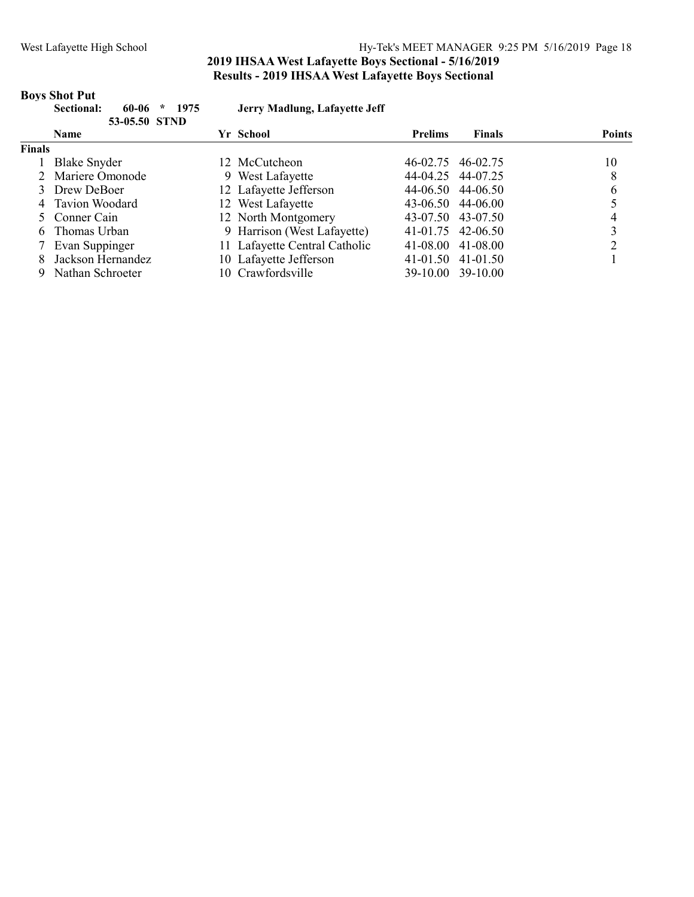# **Boys Shot Put**<br>Sectional:

|               | Sectional:<br>1975<br>60-06<br>$\star$<br>53-05.50 STND | Jerry Madlung, Lafayette Jeff |                |                   |               |
|---------------|---------------------------------------------------------|-------------------------------|----------------|-------------------|---------------|
|               | <b>Name</b>                                             | Yr School                     | <b>Prelims</b> | <b>Finals</b>     | <b>Points</b> |
| <b>Finals</b> |                                                         |                               |                |                   |               |
|               | <b>Blake Snyder</b>                                     | 12 McCutcheon                 | 46-02.75       | 46-02.75          | 10            |
|               | Mariere Omonode                                         | 9 West Lafayette              |                | 44-04.25 44-07.25 | 8             |
|               | 3 Drew DeBoer                                           | 12 Lafayette Jefferson        |                | 44-06.50 44-06.50 | 6             |
|               | 4 Tavion Woodard                                        | 12 West Lafayette             |                | 43-06.50 44-06.00 |               |
|               | 5 Conner Cain                                           | 12 North Montgomery           |                | 43-07.50 43-07.50 |               |
| 6             | Thomas Urban                                            | 9 Harrison (West Lafayette)   |                | 41-01.75 42-06.50 |               |
|               | 7 Evan Suppinger                                        | 11 Lafayette Central Catholic |                | 41-08.00 41-08.00 |               |
|               | Jackson Hernandez                                       | 10 Lafayette Jefferson        |                | 41-01.50 41-01.50 |               |
| 9             | Nathan Schroeter                                        | 10 Crawfordsville             |                | 39-10.00 39-10.00 |               |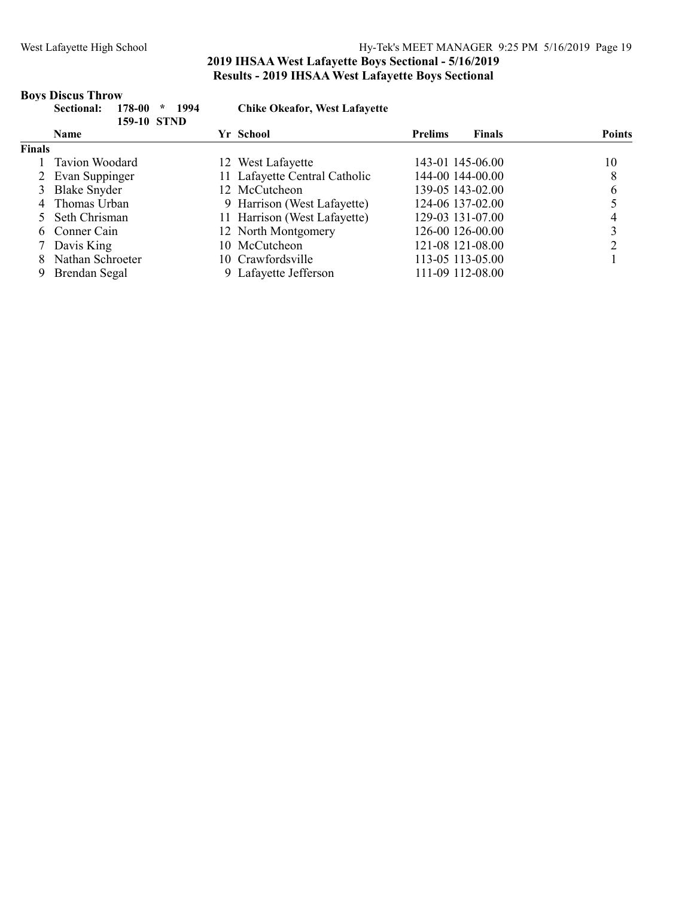### West Lafayette High School Hy-Tek's MEET MANAGER 9:25 PM 5/16/2019 Page 19

### 2019 IHSAA West Lafayette Boys Sectional - 5/16/2019 Results - 2019 IHSAA West Lafayette Boys Sectional

#### Boys Discus Throw

|               | 1994<br>Sectional:<br>178-00<br>$\star$<br>159-10 STND | <b>Chike Okeafor, West Lafayette</b> |                                 |               |
|---------------|--------------------------------------------------------|--------------------------------------|---------------------------------|---------------|
|               | <b>Name</b>                                            | Yr School                            | <b>Finals</b><br><b>Prelims</b> | <b>Points</b> |
| <b>Finals</b> |                                                        |                                      |                                 |               |
|               | Tavion Woodard                                         | 12 West Lafayette                    | 143-01 145-06.00                | 10            |
|               | 2 Evan Suppinger                                       | 11 Lafayette Central Catholic        | 144-00 144-00.00                | 8             |
|               | 3 Blake Snyder                                         | 12 McCutcheon                        | 139-05 143-02.00                | 6             |
|               | 4 Thomas Urban                                         | 9 Harrison (West Lafayette)          | 124-06 137-02.00                |               |
|               | 5 Seth Chrisman                                        | 11 Harrison (West Lafayette)         | 129-03 131-07.00                |               |
|               | 6 Conner Cain                                          | 12 North Montgomery                  | 126-00 126-00.00                |               |
|               | 7 Davis King                                           | 10 McCutcheon                        | 121-08 121-08.00                |               |
|               | Nathan Schroeter                                       | 10 Crawfordsville                    | 113-05 113-05.00                |               |
| 9             | Brendan Segal                                          | 9 Lafayette Jefferson                | 111-09 112-08.00                |               |